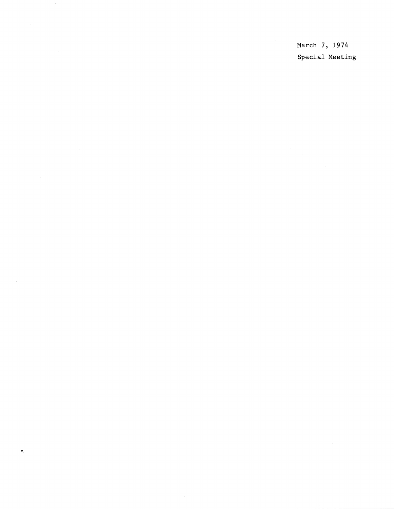March 7, 1974 Special Meeting

 $\mathcal{L}$ 

 $\sim$ 

 $\overline{1}$ 

Ŋ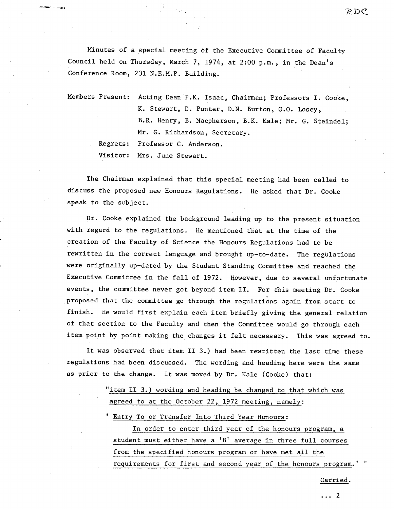Minutes of a special meeting of the Executive Committee of Faculty Council held on Thursday, March 7, 1974, at 2:00 p.m., in the Dean's Conference Room, 231 N.E.M.P. Building.

Members Present: Acting Dean P.K. Isaac, Chairman; Professors I. Cooke, K. Stewart, D. Punter, D.N. Burton, G.O. Losey, B.R. Henry, B. Macpherson, B.K. Kale; Mr. G. Steindel; **Mr.** G. Richardson, Secretary. Regrets: Professor C. Anderson. Visitor: Mrs. June Stewart.

The Chairman explained that this special meeting had been called to discuss the proposed new honours Regulations. He asked that Dr. Cooke speak to the subject.

Dr. Cooke explained the background leading up to the present situation with regard to the regulations. He mentioned that at the time of the creation of the Faculty of Science the Honours Regulations had to be rewritten in the correct language and brought up-to-date. The regulations were originally up-dated by the Student Standing Committee and reached the Executive Committee in the fall of 1972. However, due to several unfortunate events, the committee never got beyond item II. For this meeting Dr. Cooke proposed that the committee go through the regulations again from start to finish. He would first explain each item briefly giving the general relation of that section to the Faculty and then the Committee would go through each item point by point making the changes it felt necessary. This was agreed to.

It was observed that item II 3.) had been rewritten the last time these regulations had been discussed. The wording and heading here were the same as prior to the change. It was moved by Dr. Kale (Cooke) that:

> "item II 3.) wording and heading be changed to that which was agreed to at the October 22, 1972 meeting, namely:

Entry To or Transfer Into Third Year Honours:

In order to enter third year of the honours program, a student must either have a  $^{\prime}B^{\prime}$  average in three full courses from the specified honours program or have met all the requirements for first and second year of the honours program.

Carried.

... 2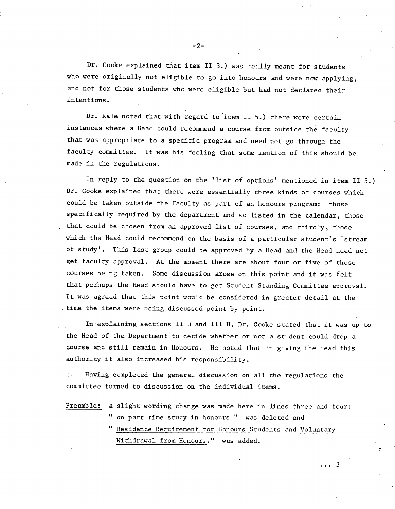Dr. Cooke explained that item II 3.) was really meant for students who were originally not eligible to go into honours and were now applying, and not for those students who were eligible but had not declared their intentions.

Dr. Kale noted that with regard to item II 5.) there were certain instances where a Head could recommend a course from outside the faculty that was appropriate to a specific program and need not go through the faculty committee. It was his feeling that some mention of this should be made in the regulations.

In reply to the question on the 'list of options' mentioned in item II 5.) Dr. Cooke explained that there were essentially three kinds of courses which could be taken outside the Faculty as part of an honours program: those specifically required by the department and so listed in the calendar, those that could be chosen from an approved list of courses, and thirdly, those which the Head could recommend on the basis of a particular student's 'stream of study'. This last group could be approved by a Head and the Head need not get faculty approval. At the moment there are about four or five of these courses being taken. Some discussion arose on this point and it was felt that perhaps the Head should have to get Student Standing Committee approval. It was agreed that this point would be considered in greater detail at the time the items were being discussed point by point.

In explaining sections II H and III H, Dr. Cooke stated that it was up to the Head of the Department to decide whether or not a student could drop a course and still remain in Honours. He noted that in giving the Head this authority it also increased his responsibility.

Having completed the general discussion on all the regulations the committee turned to discussion on the individual items.

Preamble: a slight wording change was made here in lines three and four: " on part time study in honours " was deleted and

> " Residence Requirement for Honours Students and Voluntary Withdrawal from Honours." was added.

> > $\cdots$  3

-2-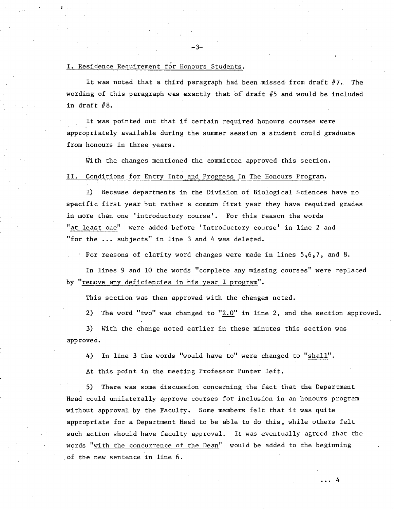#### I. Residence Requirement for Honours Students.

It was noted that a third paragraph had been missed from draft  $#7$ . The wording of this paragraph was exactly that of draft #5 and would be included in draft #8.

It was pointed out that if certain required honours courses were appropriately available during the summer session a student could graduate from honours in three years.

With the changes mentioned the committee approved this section.

#### II. Conditions for Entry Into and Progress In The Honours Program.

1) Because departments in the Division of Biological Sciences have no specific first year but rather a common first year they have required grades in more than one 'introductory course'. For this reason the words "at least one" were added before 'Introductory course' in line 2 and "for the ... subjects" in line 3 and 4 was deleted.

For reasons of clarity word changes were made in lines 5,6,7, and 8.

In lines 9 and 10 the words "complete any missing courses" were replaced by "remove any deficiencies in his year I program".

This section was then approved with the changes noted.

2) The word "two" was changed to " $2.0$ " in line 2, and the section approved.

3) With the change noted earlier in these minutes this section was approved.

4) In line 3 the words "would have to" were changed to "shall".

At this point in the meeting Professor Punter left.

5) There was some discussion concerning the fact that the Department Head could unilaterally approve courses for inclusion in an honours program without approval by the Faculty. Some members felt that it was quite appropriate for a Department Head to be able to do this, while others felt such action should have faculty approval. It was eventually agreed that the words "with the concurrence of the Dean" would be added to the beginning of the new sentence in line 6.

3-

... 4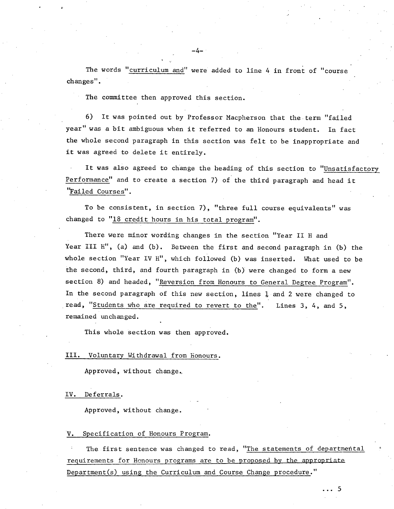The words "curriculum and" were added to line 4 **in** front of "course changes".

-4-

The committee then approved this section.

6) It was pointed out by Professor Macpherson that the term "failed year" was a bit ambiguous when it referred to an Honours student. In fact the whole second paragraph in this section was felt to be inappropriate and it was agreed to delete it entirely.

It was also agreed to change the heading of this section to "Unsatisfactory Performance" and to create a section 7) of the third paragraph and head it 'Failed Courses".

To be consistent, in section 7), "three full course equivalents" was changed to "18 credit hours in his total program".

There were minor wording changes in the section "Year II H and Year III H", (a) and (b). Between the first and second paragraph in (b) the whole section "Year IV H", which followed (b) was inserted. What used to be the second, third, and fourth paragraph in (b) were changed to form a new section 8) and headed, "Reversion from Honours to General Degree Program". In the second paragraph of this new section, lines  $1$  and 2 were changed to read, "Students who are required to revert to the". Lines 3, 4, and 5, remained unchanged.

This whole section was then approved.

#### III. Voluntary Withdrawal from Honours.

Approved, without change.,

#### IV. Deferrals.

Approved, without change.

#### V. Specification of Honours Program.

The first sentence was changed to read, "The statements of departmental requirements for Honours programs are to be proposed by the appropriata Department(s) using the Curriculum and Course Change procedure."

... 5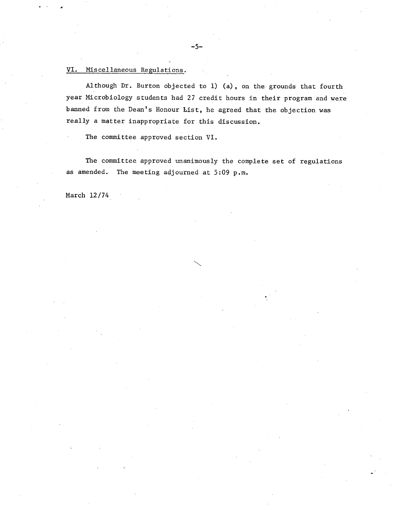## VI. Miscellaneous Regulations.

Although Dr. Burton objected to 1) (a), on the grounds that fourth year Microbiology students had 27 credit hours in their program and were banned from the Dean's Honour List, he agreed that the objection was really a matter inappropriate for this discussion.

The committee approved section VI.

The committee approved unanimously the complete set of regulations as amended. The meeting adjourned at 5:09 p.m.

March 12/74